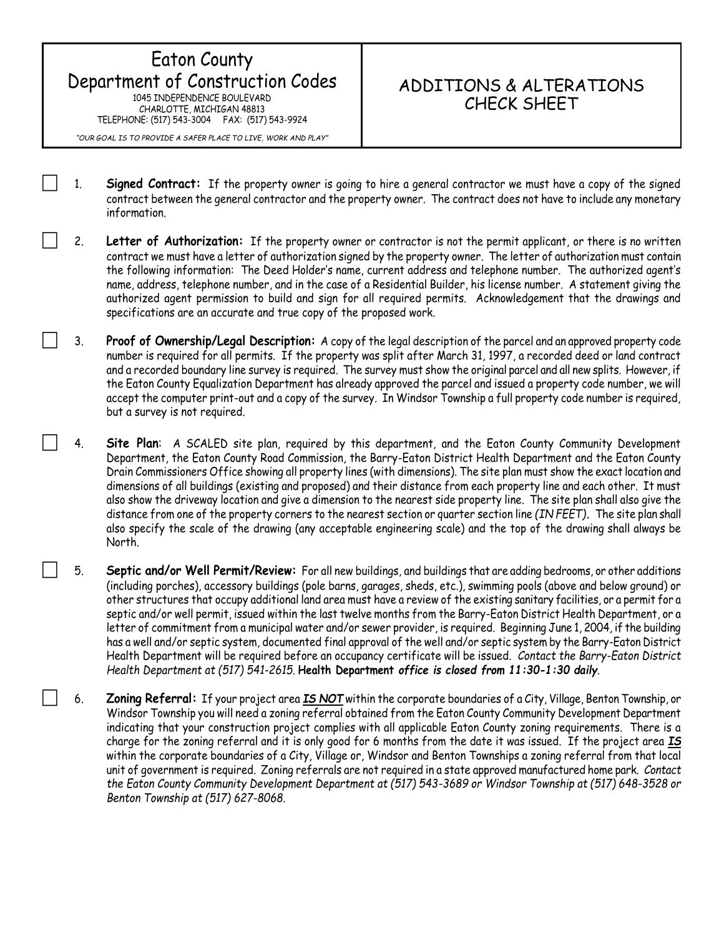## Eaton County Department of Construction Codes 1045 INDEPENDENCE BOULEVARD CHARLOTTE, MICHIGAN 48813 TELEPHONE: (517) 543-3004 FAX: (517) 543-9924

## ADDITIONS & ALTERATIONS CHECK SHEET

*"OUR GOAL IS TO PROVIDE A SAFER PLACE TO LIVE, WORK AND PLAY"*

- 1. **Signed Contract:** If the property owner is going to hire a general contractor we must have a copy of the signed contract between the general contractor and the property owner. The contract does not have to include any monetary information.
- 2. **Letter of Authorization:** If the property owner or contractor is not the permit applicant, or there is no written contract we must have a letter of authorization signed by the property owner. The letter of authorization must contain the following information: The Deed Holder's name, current address and telephone number. The authorized agent's name, address, telephone number, and in the case of a Residential Builder, his license number. A statement giving the authorized agent permission to build and sign for all required permits. Acknowledgement that the drawings and specifications are an accurate and true copy of the proposed work.
- 3. **Proof of Ownership/Legal Description:** A copy of the legal description of the parcel and an approved property code number is required for all permits. If the property was split after March 31, 1997, a recorded deed or land contract and a recorded boundary line survey is required. The survey must show the original parcel and all new splits. However, if the Eaton County Equalization Department has already approved the parcel and issued a property code number, we will accept the computer print-out and a copy of the survey. In Windsor Township a full property code number is required, but a survey is not required.
- 4. **Site Plan**: A SCALED site plan, required by this department, and the Eaton County Community Development Department, the Eaton County Road Commission, the Barry-Eaton District Health Department and the Eaton County Drain Commissioners Office showing all property lines (with dimensions). The site plan must show the exact location and dimensions of all buildings (existing and proposed) and their distance from each property line and each other. It must also show the driveway location and give a dimension to the nearest side property line. The site plan shall also give the distance from one of the property corners to the nearest section or quarter section line *(IN FEET)***.** The site plan shall also specify the scale of the drawing (any acceptable engineering scale) and the top of the drawing shall always be North.
- 5. **Septic and/or Well Permit/Review:** For all new buildings, and buildings that are adding bedrooms, or other additions (including porches), accessory buildings (pole barns, garages, sheds, etc.), swimming pools (above and below ground) or other structures that occupy additional land area must have a review of the existing sanitary facilities, or a permit for a septic and/or well permit, issued within the last twelve months from the Barry-Eaton District Health Department, or a letter of commitment from a municipal water and/or sewer provider, is required. Beginning June 1, 2004, if the building has a well and/or septic system, documented final approval of the well and/or septic system by the Barry-Eaton District Health Department will be required before an occupancy certificate will be issued. *Contact the Barry-Eaton District Health Department at (517) 541-2615.* **Health Department** *office is closed from 11:30-1:30 daily.*
- 6. **Zoning Referral:** If your project area *IS NOT* within the corporate boundaries of a City, Village, Benton Township, or Windsor Township you will need a zoning referral obtained from the Eaton County Community Development Department indicating that your construction project complies with all applicable Eaton County zoning requirements. There is a charge for the zoning referral and it is only good for 6 months from the date it was issued. If the project area *IS* within the corporate boundaries of a City, Village or, Windsor and Benton Townships a zoning referral from that local unit of government is required. Zoning referrals are not required in a state approved manufactured home park. *Contact the Eaton County Community Development Department at (517) 543-3689 or Windsor Township at (517) 648-3528 or Benton Township at (517) 627-8068.*